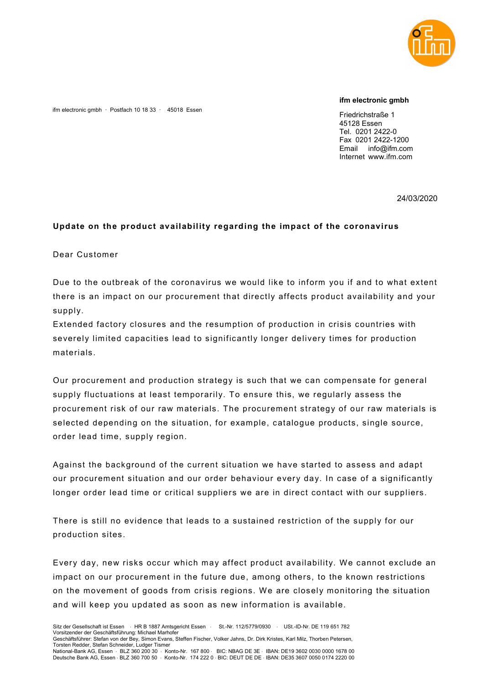

## ifm electronic gmbh

ifm electronic gmbh · Postfach 10 18 33 · 45018 Essen

Friedrichstraße 1 45128 Essen Tel. 0201 2422-0 Fax 0201 2422-1200 Email info@ifm.com Internet www.ifm.com

24/03/2020

## Update on the product availability regarding the impact of the coronavirus

Dear Customer

Due to the outbreak of the coronavirus we would like to inform you if and to what extent there is an impact on our procurement that directly affects product availability and your supply.

Extended factory closures and the resumption of production in crisis countries with severely limited capacities lead to significantly longer delivery times for production materials.

Our procurement and production strategy is such that we can compensate for general supply fluctuations at least temporarily. To ensure this, we regularly assess the procurement risk of our raw materials. The procurement strategy of our raw materials is selected depending on the situation, for example, catalogue products, single source, order lead time, supply region.

Against the background of the current situation we have started to assess and adapt our procurement situation and our order behaviour every day. In case of a significantly longer order lead time or critical suppliers we are in direct contact with our suppliers.

There is still no evidence that leads to a sustained restriction of the supply for our production sites.

Every day, new risks occur which may affect product availability. We cannot exclude an impact on our procurement in the future due, among others, to the known restrictions on the movement of goods from crisis regions. We are closely monitoring the situation and will keep you updated as soon as new information is available.